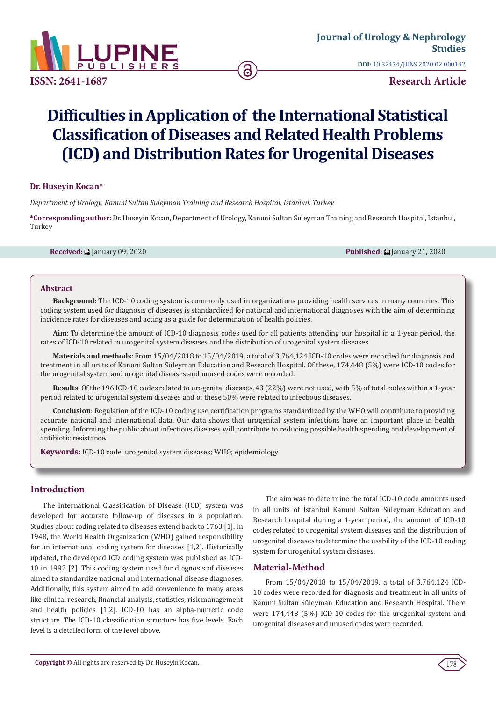

**ISSN: 2641-1687**

**DOI:** [10.32474/JUNS.2020.02.000142](http://dx.doi.org/10.32474/JUNS.2020.02.000142)

**Research Article**

# **Difficulties in Application of the International Statistical Classification of Diseases and Related Health Problems (ICD) and Distribution Rates for Urogenital Diseases**

#### **Dr. Huseyin Kocan\***

*Department of Urology, Kanuni Sultan Suleyman Training and Research Hospital, Istanbul, Turkey*

**\*Corresponding author:** Dr. Huseyin Kocan, Department of Urology, Kanuni Sultan Suleyman Training and Research Hospital, Istanbul, Turkey

**Received:** ■ January 09, 2020 **Published: ■ January 21, 2020 Published: ■ January 21, 2020** 

#### **Abstract**

**Background:** The ICD-10 coding system is commonly used in organizations providing health services in many countries. This coding system used for diagnosis of diseases is standardized for national and international diagnoses with the aim of determining incidence rates for diseases and acting as a guide for determination of health policies.

**Aim**: To determine the amount of ICD-10 diagnosis codes used for all patients attending our hospital in a 1-year period, the rates of ICD-10 related to urogenital system diseases and the distribution of urogenital system diseases.

**Materials and methods:** From 15/04/2018 to 15/04/2019, a total of 3,764,124 ICD-10 codes were recorded for diagnosis and treatment in all units of Kanuni Sultan Süleyman Education and Research Hospital. Of these, 174,448 (5%) were ICD-10 codes for the urogenital system and urogenital diseases and unused codes were recorded.

**Results**: Of the 196 ICD-10 codes related to urogenital diseases, 43 (22%) were not used, with 5% of total codes within a 1-year period related to urogenital system diseases and of these 50% were related to infectious diseases.

**Conclusion**: Regulation of the ICD-10 coding use certification programs standardized by the WHO will contribute to providing accurate national and international data. Our data shows that urogenital system infections have an important place in health spending. Informing the public about infectious diseases will contribute to reducing possible health spending and development of antibiotic resistance.

**Keywords:** ICD-10 code; urogenital system diseases; WHO; epidemiology

# **Introduction**

The International Classification of Disease (ICD) system was developed for accurate follow-up of diseases in a population. Studies about coding related to diseases extend back to 1763 [1]. In 1948, the World Health Organization (WHO) gained responsibility for an international coding system for diseases [1,2]. Historically updated, the developed ICD coding system was published as ICD-10 in 1992 [2]. This coding system used for diagnosis of diseases aimed to standardize national and international disease diagnoses. Additionally, this system aimed to add convenience to many areas like clinical research, financial analysis, statistics, risk management and health policies [1,2]. ICD-10 has an alpha-numeric code structure. The ICD-10 classification structure has five levels. Each level is a detailed form of the level above.

The aim was to determine the total ICD-10 code amounts used in all units of İstanbul Kanuni Sultan Süleyman Education and Research hospital during a 1-year period, the amount of ICD-10 codes related to urogenital system diseases and the distribution of urogenital diseases to determine the usability of the ICD-10 coding system for urogenital system diseases.

## **Material-Method**

From 15/04/2018 to 15/04/2019, a total of 3,764,124 ICD-10 codes were recorded for diagnosis and treatment in all units of Kanuni Sultan Süleyman Education and Research Hospital. There were 174,448 (5%) ICD-10 codes for the urogenital system and urogenital diseases and unused codes were recorded.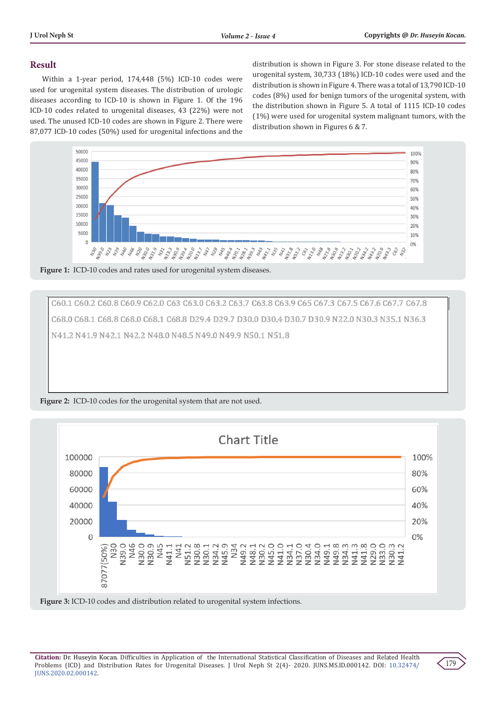# **Result**

Within a 1-year period, 174,448 (5%) ICD-10 codes were used for urogenital system diseases. The distribution of urologic diseases according to ICD-10 is shown in Figure 1. Of the 196 ICD-10 codes related to urogenital diseases, 43 (22%) were not used. The unused ICD-10 codes are shown in Figure 2. There were 87,077 ICD-10 codes (50%) used for urogenital infections and the

distribution is shown in Figure 3. For stone disease related to the urogenital system, 30,733 (18%) ICD-10 codes were used and the distribution is shown in Figure 4. There was a total of 13,790 ICD-10 codes (8%) used for benign tumors of the urogenital system, with the distribution shown in Figure 5. A total of 1115 ICD-10 codes (1%) were used for urogenital system malignant tumors, with the distribution shown in Figures 6 & 7.



Figure 1: ICD-10 codes and rates used for urogenital system diseases.

C60.1 C60.2 C60.8 C60.9 C62.0 C63 C63.0 C63.2 C63.7 C63.8 C63.9 C65 C67.3 C67.5 C67.6 C67.7 C67.8 C68.0 C68.1 C68.8 C68.0 C68.1 C68.8 D29.4 D29.7 D30.0 D30.4 D30.7 D30.9 N22.0 N30.3 N35.1 N36.3 N41.2 N41.9 N42.1 N42.2 N48.0 N48.5 N49.0 N49.9 N50.1 N51.8

**Figure 2:** ICD-10 codes for the urogenital system that are not used.



**Figure 3:** ICD-10 codes and distribution related to urogenital system infections.

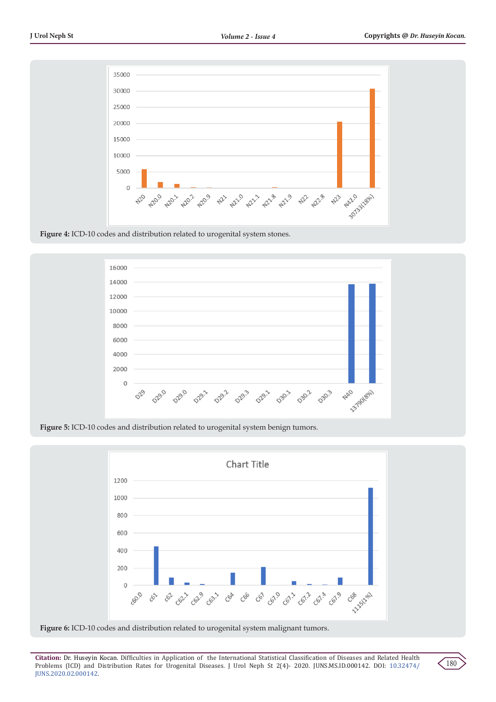

**Figure 4:** ICD-10 codes and distribution related to urogenital system stones.



**Figure 5:** ICD-10 codes and distribution related to urogenital system benign tumors.





**Citation:** Dr. Huseyin Kocan. Difficulties in Application of the International Statistical Classification of Diseases and Related Health Problems (ICD) and Distribution Rates for Urogenital Diseases. J Urol Neph St 2(4)- 2020. JUNS.MS.ID.000142. DOI: [10.32474/](http://dx.doi.org/10.32474/JUNS.2020.02.000142) [JUNS.2020.02.000142](http://dx.doi.org/10.32474/JUNS.2020.02.000142).

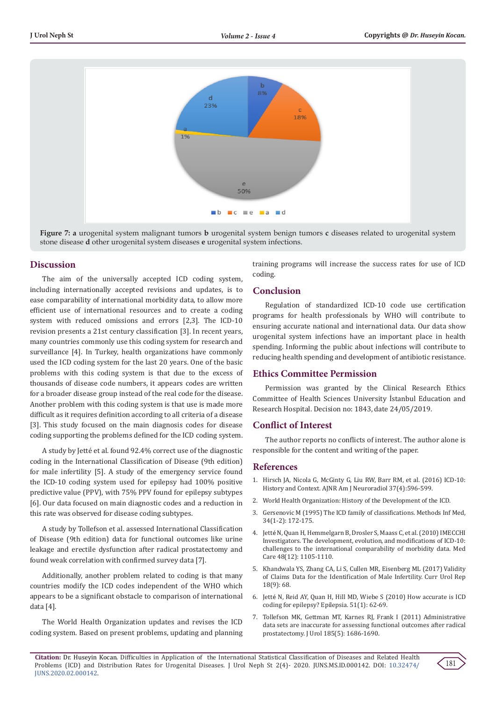

**Figure 7: a** urogenital system malignant tumors **b** urogenital system benign tumors **c** diseases related to urogenital system stone disease **d** other urogenital system diseases **e** urogenital system infections.

## **Discussion**

The aim of the universally accepted ICD coding system, including internationally accepted revisions and updates, is to ease comparability of international morbidity data, to allow more efficient use of international resources and to create a coding system with reduced omissions and errors [2,3]. The ICD-10 revision presents a 21st century classification [3]. In recent years, many countries commonly use this coding system for research and surveillance [4]. In Turkey, health organizations have commonly used the ICD coding system for the last 20 years. One of the basic problems with this coding system is that due to the excess of thousands of disease code numbers, it appears codes are written for a broader disease group instead of the real code for the disease. Another problem with this coding system is that use is made more difficult as it requires definition according to all criteria of a disease [3]. This study focused on the main diagnosis codes for disease coding supporting the problems defined for the ICD coding system.

A study by Jetté et al. found 92.4% correct use of the diagnostic coding in the International Classification of Disease (9th edition) for male infertility [5]. A study of the emergency service found the ICD-10 coding system used for epilepsy had 100% positive predictive value (PPV), with 75% PPV found for epilepsy subtypes [6]. Our data focused on main diagnostic codes and a reduction in this rate was observed for disease coding subtypes.

A study by Tollefson et al. assessed International Classification of Disease (9th edition) data for functional outcomes like urine leakage and erectile dysfunction after radical prostatectomy and found weak correlation with confirmed survey data [7].

Additionally, another problem related to coding is that many countries modify the ICD codes independent of the WHO which appears to be a significant obstacle to comparison of international data [4].

The World Health Organization updates and revises the ICD coding system. Based on present problems, updating and planning training programs will increase the success rates for use of ICD coding.

# **Conclusion**

Regulation of standardized ICD-10 code use certification programs for health professionals by WHO will contribute to ensuring accurate national and international data. Our data show urogenital system infections have an important place in health spending. Informing the public about infections will contribute to reducing health spending and development of antibiotic resistance.

## **Ethics Committee Permission**

Permission was granted by the Clinical Research Ethics Committee of Health Sciences University İstanbul Education and Research Hospital. Decision no: 1843, date 24/05/2019.

## **Conflict of Interest**

The author reports no conflicts of interest. The author alone is responsible for the content and writing of the paper.

## **References**

- 1. [Hirsch JA, Nicola G, McGinty G, Liu RW, Barr RM, et al. \(2016\) ICD-10:](http://www.ajnr.org/content/37/4/596) [History and Context. AJNR Am J Neuroradiol 37\(4\):596-599.](http://www.ajnr.org/content/37/4/596)
- 2. World Health Organization: History of the Development of the ICD.
- 3. [Gersenovic M \(1995\) The ICD family of classifications. Methods Inf Med,](https://www.ncbi.nlm.nih.gov/pubmed/9082128) [34\(1-2\): 172-175.](https://www.ncbi.nlm.nih.gov/pubmed/9082128)
- 4. Jetté [N, Quan H, Hemmelgarn B, Drosler S, Maass C, et al. \(2010\) IMECCHI](https://www.ncbi.nlm.nih.gov/pubmed/20978452) [Investigators. The development, evolution, and modifications of ICD-10:](https://www.ncbi.nlm.nih.gov/pubmed/20978452) [challenges to the international comparability of morbidity data. Med](https://www.ncbi.nlm.nih.gov/pubmed/20978452) [Care 48\(12\): 1105-1110.](https://www.ncbi.nlm.nih.gov/pubmed/20978452)
- 5. [Khandwala YS, Zhang CA, Li S, Cullen MR, Eisenberg ML \(2017\) Validity](https://www.ncbi.nlm.nih.gov/pubmed/28718160) [of Claims Data for the Identification of Male Infertility. Curr Urol Rep](https://www.ncbi.nlm.nih.gov/pubmed/28718160) [18\(9\): 68.](https://www.ncbi.nlm.nih.gov/pubmed/28718160)
- 6. Jetté [N, Reid AY, Quan H, Hill MD, Wiebe S \(2010\) How accurate is ICD](https://www.ncbi.nlm.nih.gov/pubmed/19682027) [coding for epilepsy? Epilepsia. 51\(1\): 62-69.](https://www.ncbi.nlm.nih.gov/pubmed/19682027)
- 7. [Tollefson MK, Gettman MT, Karnes RJ, Frank I \(2011\) Administrative](https://www.ncbi.nlm.nih.gov/pubmed/21419458) [data sets are inaccurate for assessing functional outcomes after radical](https://www.ncbi.nlm.nih.gov/pubmed/21419458) [prostatectomy. J Urol 185\(5\): 1686-1690.](https://www.ncbi.nlm.nih.gov/pubmed/21419458)

181

**Citation:** Dr. Huseyin Kocan. Difficulties in Application of the International Statistical Classification of Diseases and Related Health Problems (ICD) and Distribution Rates for Urogenital Diseases. J Urol Neph St 2(4)- 2020. JUNS.MS.ID.000142. DOI: [10.32474/](http://dx.doi.org/10.32474/JUNS.2020.02.000142) [JUNS.2020.02.000142](http://dx.doi.org/10.32474/JUNS.2020.02.000142).